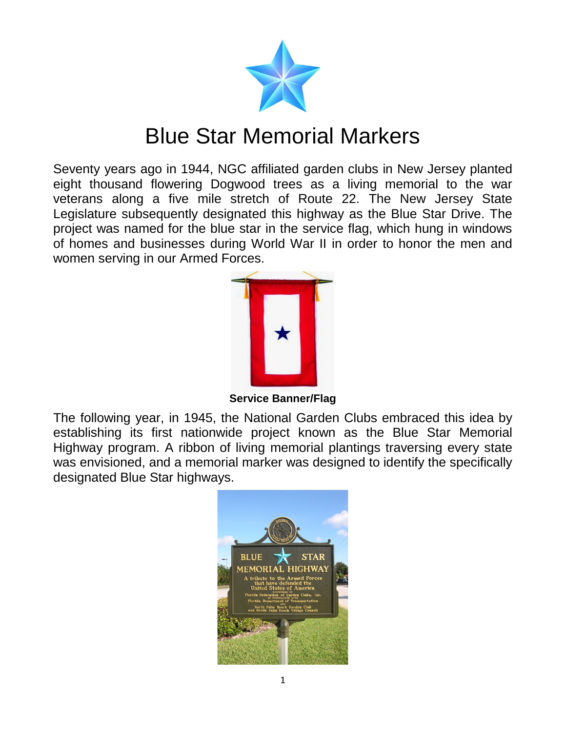

## Blue Star Memorial Markers

Seventy years ago in 1944, NGC affiliated garden clubs in New Jersey planted eight thousand flowering Dogwood trees as a living memorial to the war veterans along a five mile stretch of Route 22. The New Jersey State Legislature subsequently designated this highway as the Blue Star Drive. The project was named for the blue star in the service flag, which hung in windows of homes and businesses during World War II in order to honor the men and women serving in our Armed Forces.



**Service Banner/Flag**

The following year, in 1945, the National Garden Clubs embraced this idea by establishing its first nationwide project known as the Blue Star Memorial Highway program. A ribbon of living memorial plantings traversing every state was envisioned, and a memorial marker was designed to identify the specifically designated Blue Star highways.